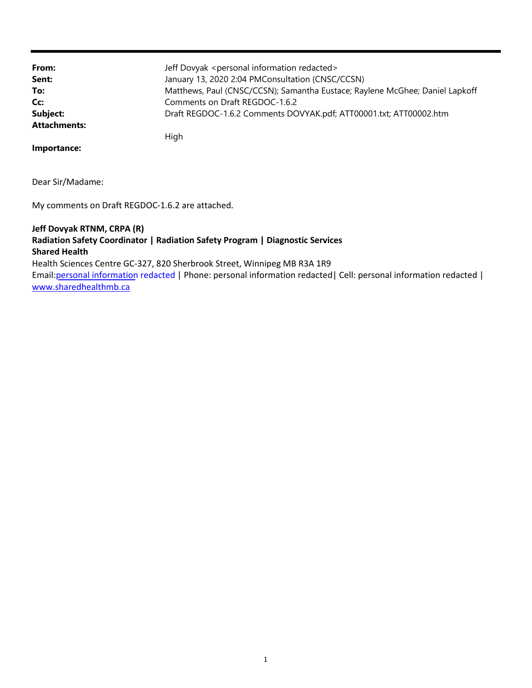| From:               | Jeff Dovyak <personal information="" redacted=""></personal>                 |
|---------------------|------------------------------------------------------------------------------|
| Sent:               | January 13, 2020 2:04 PMConsultation (CNSC/CCSN)                             |
| To:                 | Matthews, Paul (CNSC/CCSN); Samantha Eustace; Raylene McGhee; Daniel Lapkoff |
| Cc:                 | Comments on Draft REGDOC-1.6.2                                               |
| Subject:            | Draft REGDOC-1.6.2 Comments DOVYAK.pdf; ATT00001.txt; ATT00002.htm           |
| <b>Attachments:</b> |                                                                              |
|                     | High                                                                         |

**Importance:**

Dear Sir/Madame:

My comments on Draft REGDOC-1.6.2 are attached.

# www.sharedhealthmb.ca Email:personal information redacted | Phone: personal information redacted| Cell: personal information redacted | Health Sciences Centre GC-327, 820 Sherbrook Street, Winnipeg MB R3A 1R9 **Shared Health Radiation Safety Coordinator | Radiation Safety Program | Diagnostic Services Jeff Dovyak RTNM, CRPA (R)**

1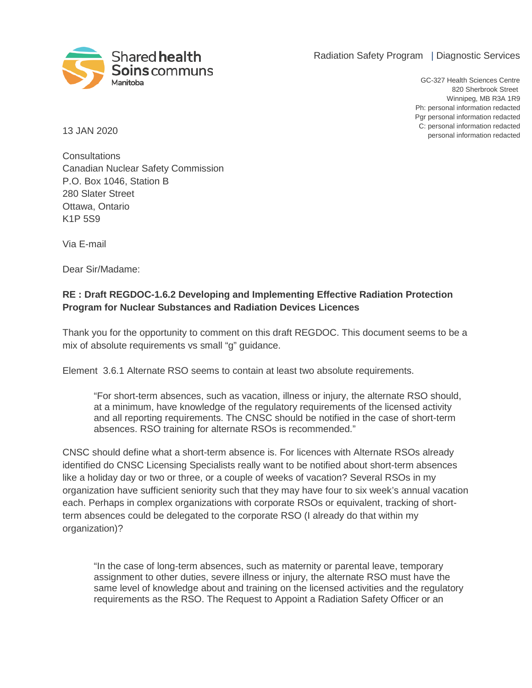Radiation Safety Program | Diagnostic Services



personal information redacted C: personal information redacted Pgr personal information redacted Ph: personal information redacted Winnipeg, MB R3A 1R9 820 Sherbrook Street GC-327 Health Sciences Centre

13 JAN 2020

**Consultations** Canadian Nuclear Safety Commission P.O. Box 1046, Station B 280 Slater Street Ottawa, Ontario K1P 5S9

Via E-mail

Dear Sir/Madame:

# **RE : Draft REGDOC-1.6.2 Developing and Implementing Effective Radiation Protection Program for Nuclear Substances and Radiation Devices Licences**

Thank you for the opportunity to comment on this draft REGDOC. This document seems to be a mix of absolute requirements vs small "g" guidance.

Element 3.6.1 Alternate RSO seems to contain at least two absolute requirements.

"For short-term absences, such as vacation, illness or injury, the alternate RSO should, at a minimum, have knowledge of the regulatory requirements of the licensed activity and all reporting requirements. The CNSC should be notified in the case of short-term absences. RSO training for alternate RSOs is recommended."

CNSC should define what a short-term absence is. For licences with Alternate RSOs already identified do CNSC Licensing Specialists really want to be notified about short-term absences like a holiday day or two or three, or a couple of weeks of vacation? Several RSOs in my organization have sufficient seniority such that they may have four to six week's annual vacation each. Perhaps in complex organizations with corporate RSOs or equivalent, tracking of shortterm absences could be delegated to the corporate RSO (I already do that within my organization)?

"In the case of long-term absences, such as maternity or parental leave, temporary assignment to other duties, severe illness or injury, the alternate RSO must have the same level of knowledge about and training on the licensed activities and the regulatory requirements as the RSO. The Request to Appoint a Radiation Safety Officer or an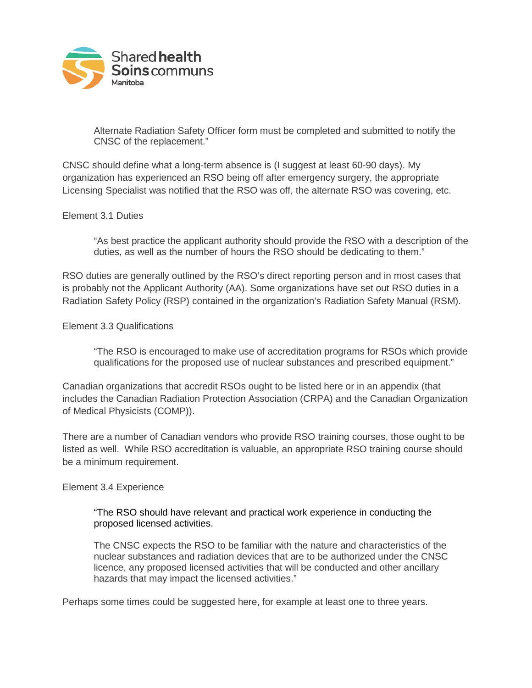

Alternate Radiation Safety Officer form must be completed and submitted to notify the CNSC of the replacement."

CNSC should define what a long-term absence is (I suggest at least 60-90 days). My organization has experienced an RSO being off after emergency surgery, the appropriate Licensing Specialist was notified that the RSO was off, the alternate RSO was covering, etc.

## Element 3.1 Duties

"As best practice the applicant authority should provide the RSO with a description of the duties, as well as the number of hours the RSO should be dedicating to them."

RSO duties are generally outlined by the RSO's direct reporting person and in most cases that is probably not the Applicant Authority (AA). Some organizations have set out RSO duties in a Radiation Safety Policy (RSP) contained in the organization's Radiation Safety Manual (RSM).

### Element 3.3 Qualifications

"The RSO is encouraged to make use of accreditation programs for RSOs which provide qualifications for the proposed use of nuclear substances and prescribed equipment."

Canadian organizations that accredit RSOs ought to be listed here or in an appendix (that includes the Canadian Radiation Protection Association (CRPA) and the Canadian Organization of Medical Physicists (COMP)).

There are a number of Canadian vendors who provide RSO training courses, those ought to be listed as well. While RSO accreditation is valuable, an appropriate RSO training course should be a minimum requirement.

### Element 3.4 Experience

## "The RSO should have relevant and practical work experience in conducting the proposed licensed activities.

The CNSC expects the RSO to be familiar with the nature and characteristics of the nuclear substances and radiation devices that are to be authorized under the CNSC licence, any proposed licensed activities that will be conducted and other ancillary hazards that may impact the licensed activities."

Perhaps some times could be suggested here, for example at least one to three years.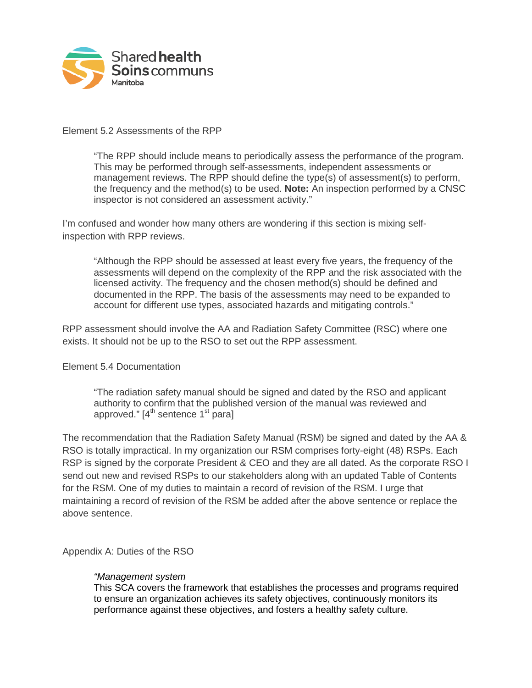

## Element 5.2 Assessments of the RPP

"The RPP should include means to periodically assess the performance of the program. This may be performed through self-assessments, independent assessments or management reviews. The RPP should define the type(s) of assessment(s) to perform, the frequency and the method(s) to be used. **Note:** An inspection performed by a CNSC inspector is not considered an assessment activity."

I'm confused and wonder how many others are wondering if this section is mixing selfinspection with RPP reviews.

"Although the RPP should be assessed at least every five years, the frequency of the assessments will depend on the complexity of the RPP and the risk associated with the licensed activity. The frequency and the chosen method(s) should be defined and documented in the RPP. The basis of the assessments may need to be expanded to account for different use types, associated hazards and mitigating controls."

RPP assessment should involve the AA and Radiation Safety Committee (RSC) where one exists. It should not be up to the RSO to set out the RPP assessment.

### Element 5.4 Documentation

"The radiation safety manual should be signed and dated by the RSO and applicant authority to confirm that the published version of the manual was reviewed and approved."  $[4<sup>th</sup>$  sentence  $1<sup>st</sup>$  para]

The recommendation that the Radiation Safety Manual (RSM) be signed and dated by the AA & RSO is totally impractical. In my organization our RSM comprises forty-eight (48) RSPs. Each RSP is signed by the corporate President & CEO and they are all dated. As the corporate RSO I send out new and revised RSPs to our stakeholders along with an updated Table of Contents for the RSM. One of my duties to maintain a record of revision of the RSM. I urge that maintaining a record of revision of the RSM be added after the above sentence or replace the above sentence.

Appendix A: Duties of the RSO

### *"Management system*

This SCA covers the framework that establishes the processes and programs required to ensure an organization achieves its safety objectives, continuously monitors its performance against these objectives, and fosters a healthy safety culture.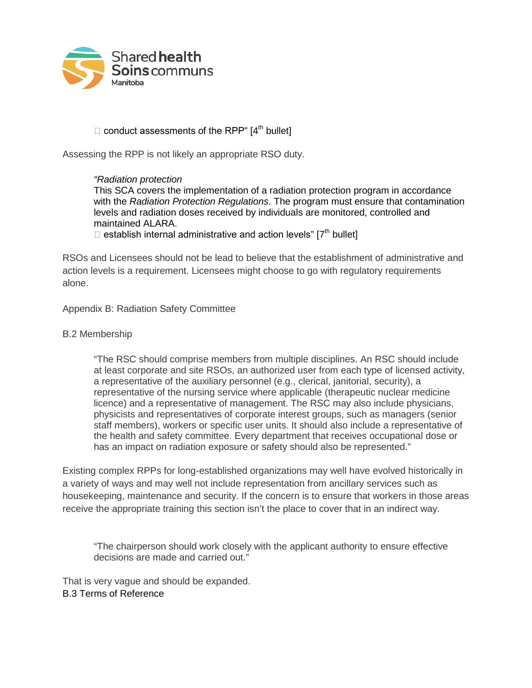

# $\Box$  conduct assessments of the RPP"  $[4<sup>th</sup>$  bullet]

Assessing the RPP is not likely an appropriate RSO duty.

# *"Radiation protection*

This SCA covers the implementation of a radiation protection program in accordance with the *Radiation Protection Regulations*. The program must ensure that contamination levels and radiation doses received by individuals are monitored, controlled and maintained ALARA.

 $\Box$  establish internal administrative and action levels" [7<sup>th</sup> bullet]

RSOs and Licensees should not be lead to believe that the establishment of administrative and action levels is a requirement. Licensees might choose to go with regulatory requirements alone.

Appendix B: Radiation Safety Committee

## B.2 Membership

"The RSC should comprise members from multiple disciplines. An RSC should include at least corporate and site RSOs, an authorized user from each type of licensed activity, a representative of the auxiliary personnel (e.g., clerical, janitorial, security), a representative of the nursing service where applicable (therapeutic nuclear medicine licence) and a representative of management. The RSC may also include physicians, physicists and representatives of corporate interest groups, such as managers (senior staff members), workers or specific user units. It should also include a representative of the health and safety committee. Every department that receives occupational dose or has an impact on radiation exposure or safety should also be represented."

Existing complex RPPs for long-established organizations may well have evolved historically in a variety of ways and may well not include representation from ancillary services such as housekeeping, maintenance and security. If the concern is to ensure that workers in those areas receive the appropriate training this section isn't the place to cover that in an indirect way.

"The chairperson should work closely with the applicant authority to ensure effective decisions are made and carried out."

That is very vague and should be expanded. B.3 Terms of Reference